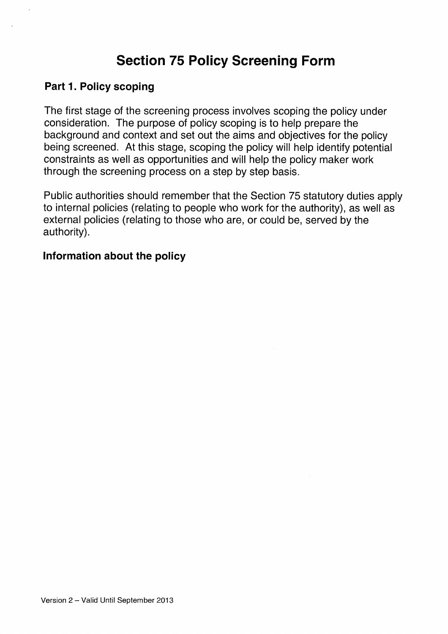# Section 75 Policy Screening Form

#### Part 1. Policy scoping

The first stage of the screening process involves scoping the policy under consideration. The purpose of policy scoping is to help prepare the background and context and set out the aims and objectives for the policy being screened. At this stage, scoping the policy will help identify potential constraints as well as opportunities and will help the policy maker work through the screening process on a step by step basis.

Public authorities should remember that the Section 75 statutory duties apply to internal policies (relating to people who work for the authority), as well as external policies (relating to those who are, or could be, served by the authority).

#### Information about the policy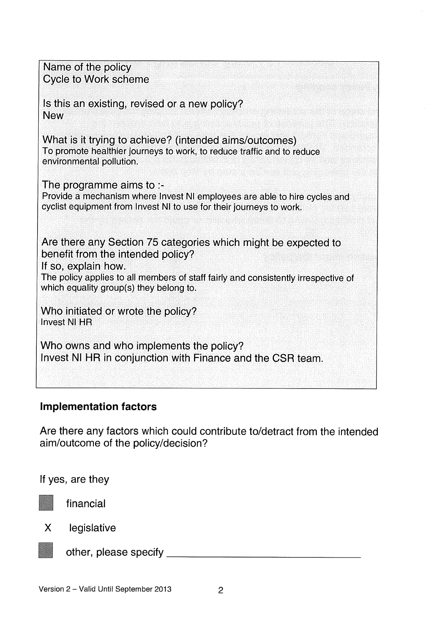Name of the policy Cycle to Work scheme Is this an existing, revised or a new policy? New What is it trying to achieve? (intended aims/outcomes) To promote healthier journeys to work, to reduce traffic and to reduce environmental pollution. The programme aims to :- Provide a mechanism where Invest NI employees are able to hire cycles and cyclist equipment from Invest NI to use for their journeys to work. Are there any Section 75 categories which might be expected to benefit from the intended policy? If so, explain how. The policy applies to all members of staff fairly and consistently irrespective of which equality group(s) they belong to. Who initiated or wrote the policy? Invest NI HR Who owns and who implements the policy? Invest NI HR in conjunction with Finance and the CSR team.

### Implementation factors

Are there any factors which could contribute to/detract from the intended aim/outcome of the policy/decision?

If yes, are they



financial

X legislative



other, please specify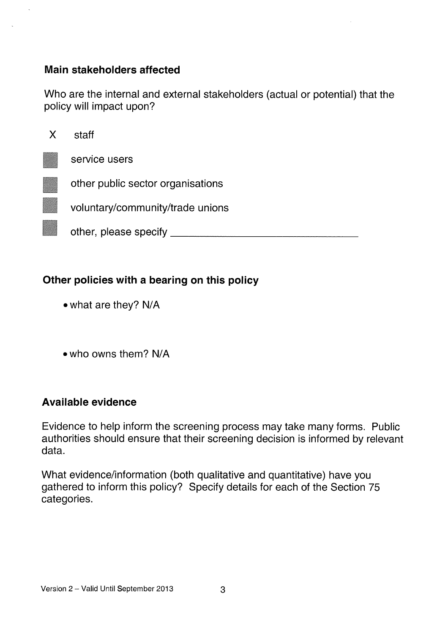# Main stakeholders affected

Who are the internal and external stakeholders (actual or potential) that the policy will impact upon?

| X | staff                             |
|---|-----------------------------------|
|   | service users                     |
|   | other public sector organisations |
|   | voluntary/community/trade unions  |
|   | other, please specify             |

# Other policies with a bearing on this policy

- •what are they? N/A
- who owns them? N/A

### Available evidence

Evidence to help inform the screening process may take many forms. Public authorities should ensure that their screening decision is informed by relevant data.

What evidence/information (both qualitative and quantitative) have you gathered to inform this policy? Specify details for each of the Section 75 categories.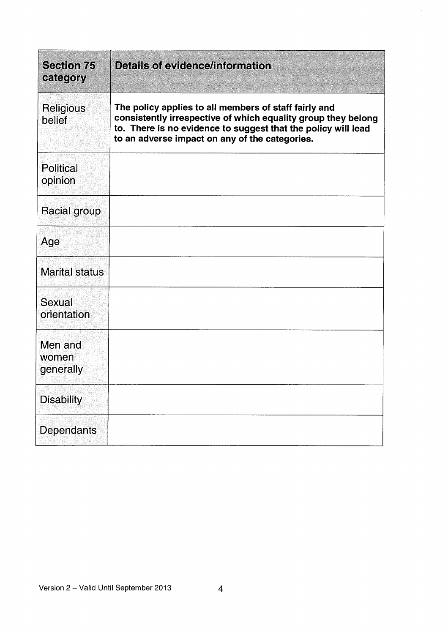| <b>Section 75</b><br>category | <b>Details of evidence/information</b>                                                                                                                                                                                                    |
|-------------------------------|-------------------------------------------------------------------------------------------------------------------------------------------------------------------------------------------------------------------------------------------|
| Religious<br>belief           | The policy applies to all members of staff fairly and<br>consistently irrespective of which equality group they belong<br>to. There is no evidence to suggest that the policy will lead<br>to an adverse impact on any of the categories. |
| <b>Political</b><br>opinion   |                                                                                                                                                                                                                                           |
| Racial group                  |                                                                                                                                                                                                                                           |
| Age                           |                                                                                                                                                                                                                                           |
| <b>Marital status</b>         |                                                                                                                                                                                                                                           |
| Sexual<br>orientation         |                                                                                                                                                                                                                                           |
| Men and<br>women<br>generally |                                                                                                                                                                                                                                           |
| <b>Disability</b>             |                                                                                                                                                                                                                                           |
| Dependants                    |                                                                                                                                                                                                                                           |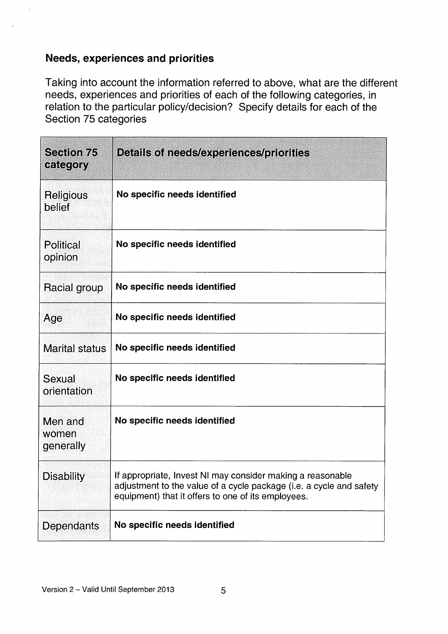### Needs, experiences and priorities

Taking into account the information referred to above, what are the different needs, experiences and priorities of each of the following categories, in relation to the particular policy/decision? Specify details for each of the Section 75 categories

| <b>Section 75</b><br>category | Details of needs/experiences/priorities                                                                                                                                                 |
|-------------------------------|-----------------------------------------------------------------------------------------------------------------------------------------------------------------------------------------|
| Religious<br>belief           | No specific needs identified                                                                                                                                                            |
| Political<br>opinion          | No specific needs identified                                                                                                                                                            |
| Racial group                  | No specific needs identified                                                                                                                                                            |
| Age                           | No specific needs identified                                                                                                                                                            |
| <b>Marital status</b>         | No specific needs identified                                                                                                                                                            |
| Sexual<br>orientation         | No specific needs identified                                                                                                                                                            |
| Men and<br>women<br>generally | No specific needs identified                                                                                                                                                            |
| <b>Disability</b>             | If appropriate, Invest NI may consider making a reasonable<br>adjustment to the value of a cycle package (i.e. a cycle and safety<br>equipment) that it offers to one of its employees. |
| Dependants                    | No specific needs identified                                                                                                                                                            |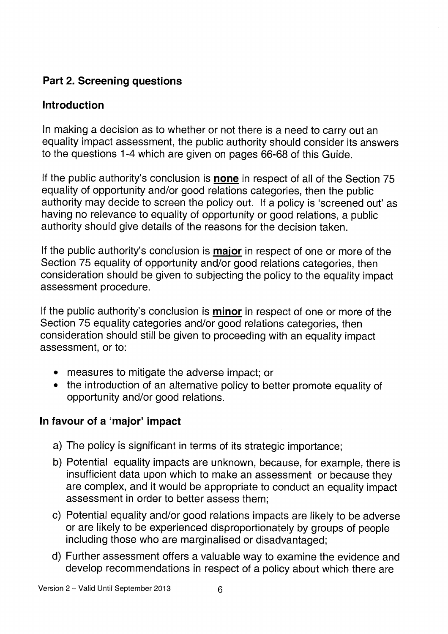# Part 2. Screening questions

# Introduction

In making a decision as to whether or not there is a need to carry out an equality impact assessment, the public authority should consider its answers to the questions 1-4 which are given on pages 66-68 of this Guide.

If the public authority's conclusion is **none** in respect of all of the Section 75 equality of opportunity and/or good relations categories, then the public authority may decide to screen the policy out. If a policy is 'screened out' as having no relevance to equality of opportunity or good relations, a public authority should give details of the reasons for the decision taken.

If the public authority's conclusion is major in respect of one or more of the Section 75 equality of opportunity and/or good relations categories, then consideration should be given to subjecting the policy to the equality impact assessment procedure.

If the public authority's conclusion is **minor** in respect of one or more of the Section 75 equality categories and/or good relations categories, then consideration should still be given to proceeding with an equality impact assessment, or to:

- measures to mitigate the adverse impact; or
- the introduction of an alternative policy to better promote equality of opportunity and/or good relations.

# In favour of a 'major' impact

- a) The policy is significant in terms of its strategic importance;
- b) Potential equality impacts are unknown, because, for example, there is insufficient data upon which to make an assessment or because they are complex, and it would be appropriate to conduct an equality impact assessment in order to better assess them;
- c) Potential equality and/or good relations impacts are likely to be adverse or are likely to be experienced disproportionately by groups of people including those who are marginalised or disadvantaged;
- d) Further assessment offers a valuable way to examine the evidence and develop recommendations in respect of a policy about which there are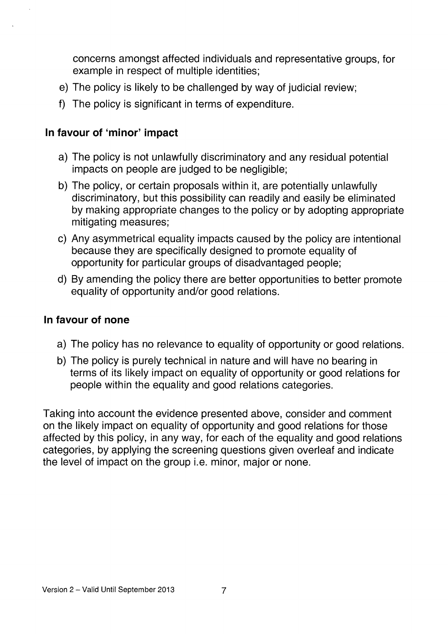concerns amongst affected individuals and representative groups, for example in respect of multiple identities;

- e) The policy is likely to be challenged by way of judicial review;
- f) The policy is significant in terms of expenditure.

# In favour of 'minor' impact

- a) The policy is not unlawfully discriminatory and any residual potential impacts on people are judged to be negligible;
- b) The policy, or certain proposals within it, are potentially unlawfully discriminatory, but this possibility can readily and easily be eliminated by making appropriate changes to the policy or by adopting appropriate mitigating measures;
- c) Any asymmetrical equality impacts caused by the policy are intentional because they are specifically designed to promote equality of opportunity for particular groups of disadvantaged people;
- d) By amending the policy there are better opportunities to better promote equality of opportunity and/or good relations.

## In favour of none

- a) The policy has no relevance to equality of opportunity or good relations.
- b) The policy is purely technical in nature and will have no bearing in terms of its likely impact on equality of opportunity or good relations for people within the equality and good relations categories.

Taking into account the evidence presented above, consider and comment on the likely impact on equality of opportunity and good relations for those affected by this policy, in any way, for each of the equality and good relations categories, by applying the screening questions given overleaf and indicate the level of impact on the group i.e. minor, major or none.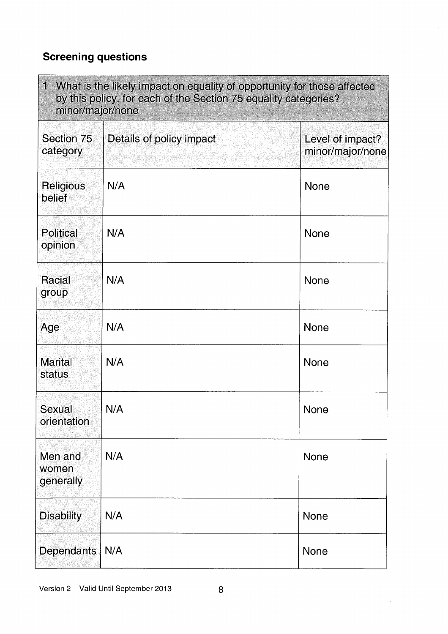# Screening questions

| $\mathbf{1}$<br>What is the likely impact on equality of opportunity for those affected<br>by this policy, for each of the Section 75 equality categories?<br>minor/major/none |                          |                                      |
|--------------------------------------------------------------------------------------------------------------------------------------------------------------------------------|--------------------------|--------------------------------------|
| Section 75<br>category                                                                                                                                                         | Details of policy impact | Level of impact?<br>minor/major/none |
| Religious<br>belief                                                                                                                                                            | N/A                      | <b>None</b>                          |
| Political<br>opinion                                                                                                                                                           | N/A                      | None                                 |
| <b>Racial</b><br>group                                                                                                                                                         | N/A                      | <b>None</b>                          |
| Age                                                                                                                                                                            | N/A                      | <b>None</b>                          |
| <b>Marital</b><br>status                                                                                                                                                       | N/A                      | None                                 |
| Sexual<br>orientation                                                                                                                                                          | N/A                      | None                                 |
| Men and<br>women<br>generally                                                                                                                                                  | N/A                      | None                                 |
| <b>Disability</b>                                                                                                                                                              | N/A                      | None                                 |
| <b>Dependants</b>                                                                                                                                                              | N/A                      | None                                 |

 $\overline{\phantom{a}}$ 

 $\mathcal{L}$ 

 $\mathcal{L}_{\mathcal{A}}$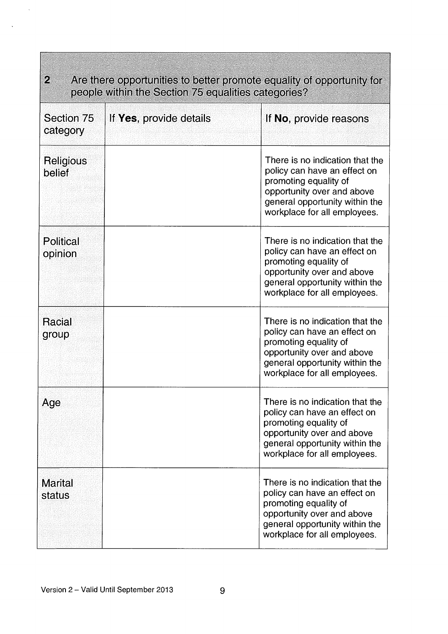| $\mathcal{D}_\epsilon$<br>Are there opportunities to better promote equality of opportunity for<br>people within the Section 75 equalities categories? |                         |                                                                                                                                                                                          |
|--------------------------------------------------------------------------------------------------------------------------------------------------------|-------------------------|------------------------------------------------------------------------------------------------------------------------------------------------------------------------------------------|
| Section 75<br>category                                                                                                                                 | If Yes, provide details | If No, provide reasons                                                                                                                                                                   |
| Religious<br>belief                                                                                                                                    |                         | There is no indication that the<br>policy can have an effect on<br>promoting equality of<br>opportunity over and above<br>general opportunity within the<br>workplace for all employees. |
| <b>Political</b><br>opinion                                                                                                                            |                         | There is no indication that the<br>policy can have an effect on<br>promoting equality of<br>opportunity over and above<br>general opportunity within the<br>workplace for all employees. |
| Racial<br>group                                                                                                                                        |                         | There is no indication that the<br>policy can have an effect on<br>promoting equality of<br>opportunity over and above<br>general opportunity within the<br>workplace for all employees. |
| Age                                                                                                                                                    |                         | There is no indication that the<br>policy can have an effect on<br>promoting equality of<br>opportunity over and above<br>general opportunity within the<br>workplace for all employees. |
| <b>Marital</b><br>status                                                                                                                               |                         | There is no indication that the<br>policy can have an effect on<br>promoting equality of<br>opportunity over and above<br>general opportunity within the<br>workplace for all employees. |

 $\lambda$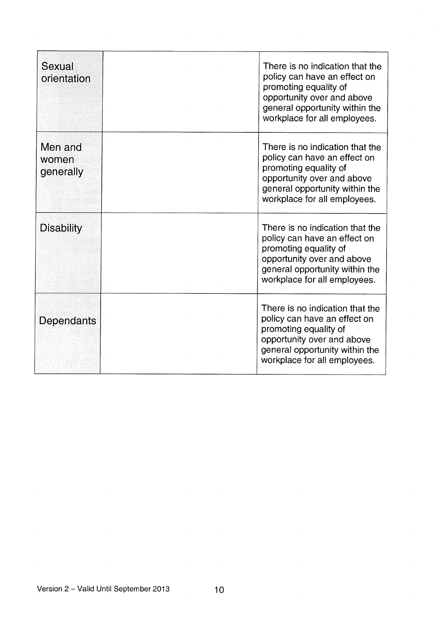| Sexual<br>orientation         | There is no indication that the<br>policy can have an effect on<br>promoting equality of<br>opportunity over and above<br>general opportunity within the<br>workplace for all employees. |
|-------------------------------|------------------------------------------------------------------------------------------------------------------------------------------------------------------------------------------|
| Men and<br>women<br>generally | There is no indication that the<br>policy can have an effect on<br>promoting equality of<br>opportunity over and above<br>general opportunity within the<br>workplace for all employees. |
| <b>Disability</b>             | There is no indication that the<br>policy can have an effect on<br>promoting equality of<br>opportunity over and above<br>general opportunity within the<br>workplace for all employees. |
| Dependants                    | There is no indication that the<br>policy can have an effect on<br>promoting equality of<br>opportunity over and above<br>general opportunity within the<br>workplace for all employees. |

 $\hat{\mathbf{z}}$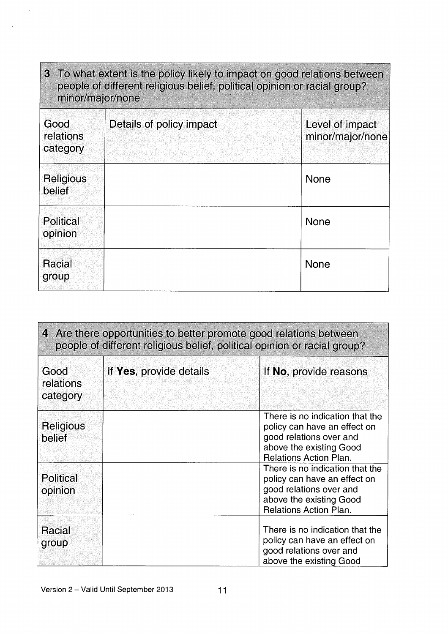| 3 To what extent is the policy likely to impact on good relations between<br>people of different religious belief, political opinion or racial group?<br>minor/major/none |  |                                     |
|---------------------------------------------------------------------------------------------------------------------------------------------------------------------------|--|-------------------------------------|
| Good<br>Details of policy impact<br>relations<br>category                                                                                                                 |  | Level of impact<br>minor/major/none |
| Religious<br>belief                                                                                                                                                       |  | <b>None</b>                         |
| <b>Political</b><br>opinion                                                                                                                                               |  | <b>None</b>                         |
| Racial<br>group                                                                                                                                                           |  | <b>None</b>                         |

| 4 Are there opportunities to better promote good relations between<br>people of different religious belief, political opinion or racial group? |                         |                                                                                                                                                        |
|------------------------------------------------------------------------------------------------------------------------------------------------|-------------------------|--------------------------------------------------------------------------------------------------------------------------------------------------------|
| Good<br>relations<br>category                                                                                                                  | If Yes, provide details | If No, provide reasons                                                                                                                                 |
| Religious<br>belief                                                                                                                            |                         | There is no indication that the<br>policy can have an effect on<br>good relations over and<br>above the existing Good<br><b>Relations Action Plan.</b> |
| Political<br>opinion                                                                                                                           |                         | There is no indication that the<br>policy can have an effect on<br>good relations over and<br>above the existing Good<br><b>Relations Action Plan.</b> |
| <b>Racial</b><br>group                                                                                                                         |                         | There is no indication that the<br>policy can have an effect on<br>good relations over and<br>above the existing Good                                  |

 $\hat{\mathbf{x}}$ 

J.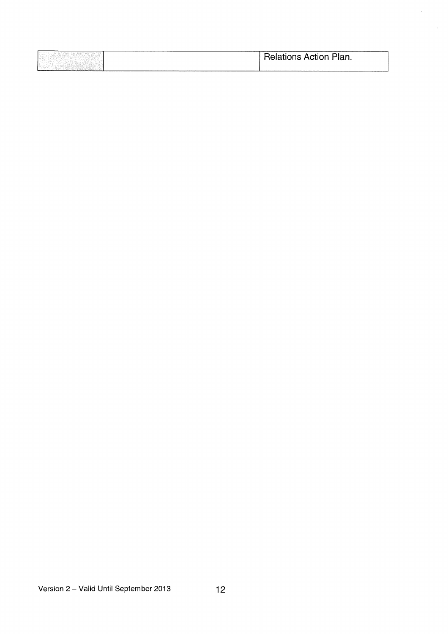|  | <b>Relations Action Plan.</b> |
|--|-------------------------------|
|  |                               |

J.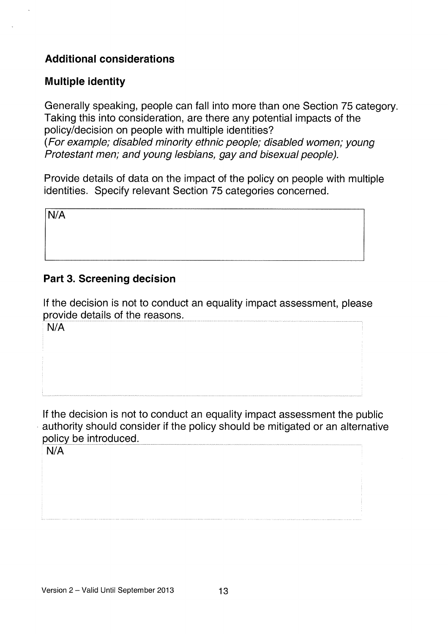# Additional considerations

### Multiple identity

Generally speaking, people can fall into more than one Section 75 category. Taking this into consideration, are there any potential impacts of the policy/decision on people with multiple identities? (For example; disabled minority ethnic people; disabled women; young Protestant men; and young lesbians, gay and bisexual people).

Provide details of data on the impact of the policy on people with multiple identities. Specify relevant Section 75 categories concerned.

N/A

# Part 3. Screening decision

If the decision is not to conduct an equality impact assessment, please provide details of the reasons.

N/A

If the decision is not to conduct an equality impact assessment the public authority should consider if the policy should be mitigated or an alternative policy be introduced.

N/A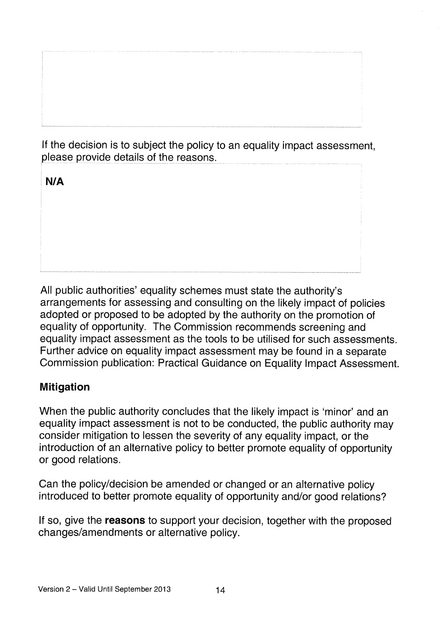If the decision is to subject the policy to an equality impact assessment, please provide details of the reasons.

N/A

All public authorities' equality schemes must state the authority's arrangements for assessing and consulting on the likely impact of policies adopted or proposed to be adopted by the authority on the promotion of equality of opportunity. The Commission recommends screening and equality impact assessment as the tools to be utilised for such assessments. Further advice on equality impact assessment may be found in a separate Commission publication: Practical Guidance on Equality Impact Assessment.

# Mitigation

When the public authority concludes that the likely impact is 'minor' and an equality impact assessment is not to be conducted, the public authority may consider mitigation to lessen the severity of any equality impact, or the introduction of an alternative policy to better promote equality of opportunity or good relations.

Can the policy/decision be amended or changed or an alternative policy introduced to better promote equality of opportunity and/or good relations?

If so, give the **reasons** to support your decision, together with the proposed changes/amendments or alternative policy.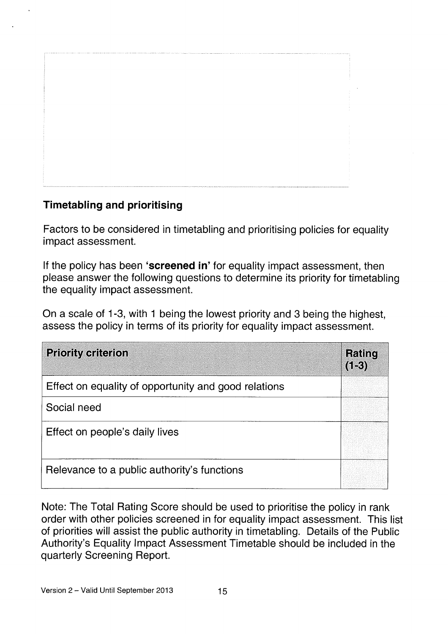# Timetabling and prioritising

Factors to be considered in timetabling and prioritising policies for equality impact assessment.

If the policy has been 'screened in' for equality impact assessment, then please answer the following questions to determine its priority for timetabling the equality impact assessment.

On a scale of 1-3, with <sup>1</sup> being the lowest priority and 3 being the highest, assess the policy in terms of its priority for equality impact assessment.

| <b>Priority criterion</b>                            | <b>Rating</b><br>$(1-3)$ |
|------------------------------------------------------|--------------------------|
| Effect on equality of opportunity and good relations |                          |
| Social need                                          |                          |
| Effect on people's daily lives                       |                          |
| Relevance to a public authority's functions          |                          |

Note: The Total Rating Score should be used to prioritise the policy in rank order with other policies screened in for equality impact assessment. This list of priorities will assist the public authority in timetabling. Details of the Public Authority's Equality Impact Assessment Timetable should be included in the quarterly Screening Report.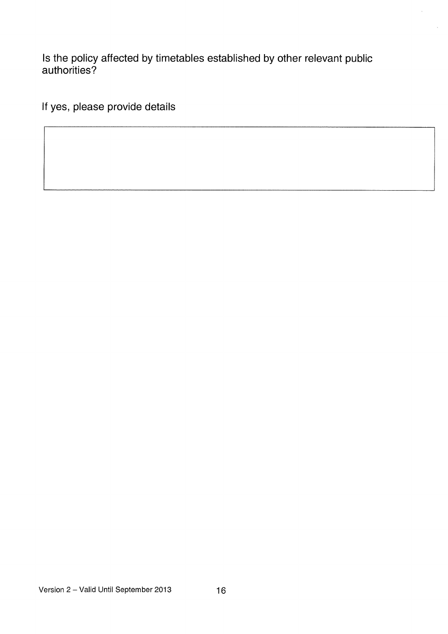Is the policy affected by timetables established by other relevant public authorities?

If yes, please provide details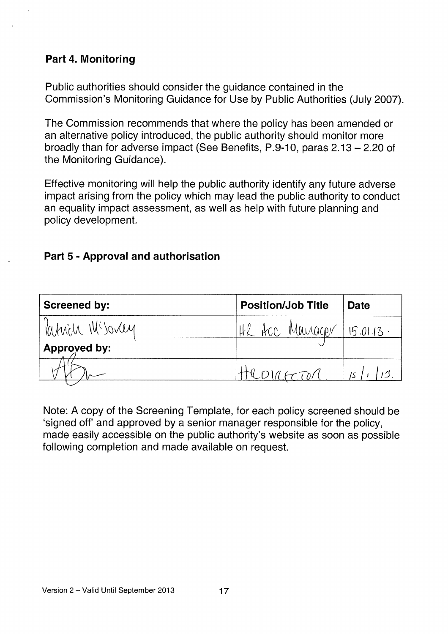## Part 4. Monitoring

Public authorities should consider the guidance contained in the Commission's Monitoring Guidance for Use by Public Authorities (July 2007).

The Commission recommends that where the policy has been amended or an alternative policy introduced, the public authority should monitor more broadly than for adverse impact (See Benefits, P.9-10, paras 2.13— 2.20 of the Monitoring Guidance).

Effective monitoring will help the public authority identify any future adverse impact arising from the policy which may lead the public authority to conduct an equality impact assessment, as well as help with future planning and policy development.

## Part 5 - Approval and authorisation

| Part 5 - Approval and authorisation                                        |                                 |             |  |  |
|----------------------------------------------------------------------------|---------------------------------|-------------|--|--|
| <b>Screened by:</b>                                                        | <b>Position/Job Title</b>       | <b>Date</b> |  |  |
| Kahrich Mcsovey                                                            | <u>HR Acc Manager 15.01.13.</u> |             |  |  |
| <b>Approved by:</b>                                                        |                                 |             |  |  |
|                                                                            | HROLLETON                       | 15/113.     |  |  |
|                                                                            |                                 |             |  |  |
| Note: A copy of the Screening Template, for each policy screened should be |                                 |             |  |  |

Note: A copy of the Screening Template, for each policy screened should be 'signed off' and approved by a senior manager responsible for the policy, made easily accessible on the public authority's website as soon as possible following completion and made available on request.